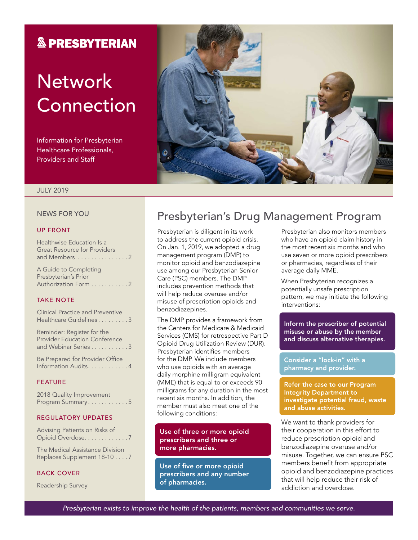### **& PRESBYTERIAN**

# **Network** Connection

Information for Presbyterian Healthcare Professionals, Providers and Staff



#### JULY 2019

#### NEWS FOR YOU

#### UP FRONT

| Healthwise Education Is a           |
|-------------------------------------|
| <b>Great Resource for Providers</b> |
| and Members 2                       |
| A Guide to Completing               |
| Presbyterian's Prior                |
| Authorization Form 2                |
|                                     |

#### TAKE NOTE

#### REGULATORY UPDATES

Advising Patients on Risks of Opioid Overdose. . . . . . . . . . . . 7

The Medical Assistance Division Replaces Supplement 18-10 . . . 7

#### BACK COVER

Readership Survey

## Presbyterian's Drug Management Program

Presbyterian is diligent in its work to address the current opioid crisis. On Jan. 1, 2019, we adopted a drug management program (DMP) to monitor opioid and benzodiazepine use among our Presbyterian Senior Care (PSC) members. The DMP includes prevention methods that will help reduce overuse and/or misuse of prescription opioids and benzodiazepines.

The DMP provides a framework from the Centers for Medicare & Medicaid Services (CMS) for retrospective Part D Opioid Drug Utilization Review (DUR). Presbyterian identifies members for the DMP. We include members who use opioids with an average daily morphine milligram equivalent (MME) that is equal to or exceeds 90 milligrams for any duration in the most recent six months. In addition, the member must also meet one of the following conditions:

Use of three or more opioid prescribers and three or more pharmacies.

Use of five or more opioid prescribers and any number of pharmacies.

Presbyterian also monitors members who have an opioid claim history in the most recent six months and who use seven or more opioid prescribers or pharmacies, regardless of their average daily MME.

When Presbyterian recognizes a potentially unsafe prescription pattern, we may initiate the following interventions:

Inform the prescriber of potential misuse or abuse by the member and discuss alternative therapies.

Consider a "lock-in" with a pharmacy and provider.

Refer the case to our Program Integrity Department to investigate potential fraud, waste and abuse activities.

We want to thank providers for their cooperation in this effort to reduce prescription opioid and benzodiazepine overuse and/or misuse. Together, we can ensure PSC members benefit from appropriate opioid and benzodiazepine practices that will help reduce their risk of addiction and overdose.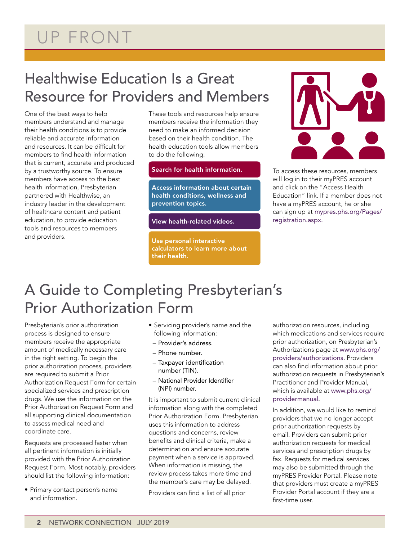## Healthwise Education Is a Great Resource for Providers and Members

One of the best ways to help members understand and manage their health conditions is to provide reliable and accurate information and resources. It can be difficult for members to find health information that is current, accurate and produced by a trustworthy source. To ensure members have access to the best health information, Presbyterian partnered with Healthwise, an industry leader in the development of healthcare content and patient education, to provide education tools and resources to members and providers.

These tools and resources help ensure members receive the information they need to make an informed decision based on their health condition. The health education tools allow members to do the following:

#### Search for health information.

Access information about certain health conditions, wellness and prevention topics.

View health-related videos.

Use personal interactive calculators to learn more about their health.



To access these resources, members will log in to their myPRES account and click on the "Access Health Education" link. If a member does not have a myPRES account, he or she can sign up at [mypres.phs.org/Pages/](https://mypres.phs.org/Pages/registration.aspx) [registration.aspx.](https://mypres.phs.org/Pages/registration.aspx)

## A Guide to Completing Presbyterian's Prior Authorization Form

Presbyterian's prior authorization process is designed to ensure members receive the appropriate amount of medically necessary care in the right setting. To begin the prior authorization process, providers are required to submit a Prior Authorization Request Form for certain specialized services and prescription drugs. We use the information on the Prior Authorization Request Form and all supporting clinical documentation to assess medical need and coordinate care.

Requests are processed faster when all pertinent information is initially provided with the Prior Authorization Request Form. Most notably, providers should list the following information:

• Primary contact person's name and information.

- Servicing provider's name and the following information:
- Provider's address.
- Phone number.
- Taxpayer identification number (TIN).
- National Provider Identifier (NPI) number.

It is important to submit current clinical information along with the completed Prior Authorization Form. Presbyterian uses this information to address questions and concerns, review benefits and clinical criteria, make a determination and ensure accurate payment when a service is approved. When information is missing, the review process takes more time and the member's care may be delayed.

Providers can find a list of all prior

authorization resources, including which medications and services require prior authorization, on Presbyterian's Authorizations page at [www.phs.org/](http://www.phs.org/providers/authorizations/) [providers/authorizations.](http://www.phs.org/providers/authorizations/) Providers can also find information about prior authorization requests in Presbyterian's Practitioner and Provider Manual, which is available at [www.phs.org/](file:///\\Pacfile9\groups\Fluent%20Provider%20Network\Communications\Newsletters\Presbyterian\2019\4.%20July\www.phs.org\providermanual) [providermanual](file:///\\Pacfile9\groups\Fluent%20Provider%20Network\Communications\Newsletters\Presbyterian\2019\4.%20July\www.phs.org\providermanual).

In addition, we would like to remind providers that we no longer accept prior authorization requests by email. Providers can submit prior authorization requests for medical services and prescription drugs by fax. Requests for medical services may also be submitted through the myPRES Provider Portal. Please note that providers must create a myPRES Provider Portal account if they are a first-time user.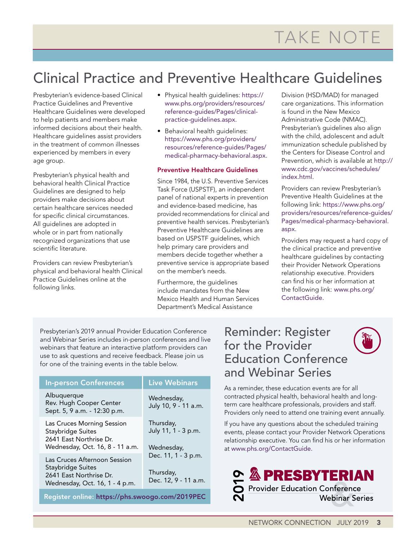## Clinical Practice and Preventive Healthcare Guidelines

Presbyterian's evidence-based Clinical Practice Guidelines and Preventive Healthcare Guidelines were developed to help patients and members make informed decisions about their health. Healthcare guidelines assist providers in the treatment of common illnesses experienced by members in every age group.

Presbyterian's physical health and behavioral health Clinical Practice Guidelines are designed to help providers make decisions about certain healthcare services needed for specific clinical circumstances. All guidelines are adopted in whole or in part from nationally recognized organizations that use scientific literature.

Providers can review Presbyterian's physical and behavioral health Clinical Practice Guidelines online at the following links.

- Physical health guidelines: [https://](https://www.phs.org/providers/resources/reference-guides/Pages/clinical-practice-guidelines.aspx) [www.phs.org/providers/resources/](https://www.phs.org/providers/resources/reference-guides/Pages/clinical-practice-guidelines.aspx) [reference-guides/Pages/clinical](https://www.phs.org/providers/resources/reference-guides/Pages/clinical-practice-guidelines.aspx)[practice-guidelines.aspx.](https://www.phs.org/providers/resources/reference-guides/Pages/clinical-practice-guidelines.aspx)
- Behavioral health guidelines: [https://www.phs.org/providers/](https://www.phs.org/providers/resources/reference-guides/Pages/medical-pharmacy-behavioral.aspx) [resources/reference-guides/Pages/](https://www.phs.org/providers/resources/reference-guides/Pages/medical-pharmacy-behavioral.aspx) [medical-pharmacy-behavioral.aspx](https://www.phs.org/providers/resources/reference-guides/Pages/medical-pharmacy-behavioral.aspx).

#### Preventive Healthcare Guidelines

Since 1984, the U.S. Preventive Services Task Force (USPSTF), an independent panel of national experts in prevention and evidence-based medicine, has provided recommendations for clinical and preventive health services. Presbyterian's Preventive Healthcare Guidelines are based on USPSTF guidelines, which help primary care providers and members decide together whether a preventive service is appropriate based on the member's needs.

Furthermore, the guidelines include mandates from the New Mexico Health and Human Services Department's Medical Assistance

Division (HSD/MAD) for managed care organizations. This information is found in the New Mexico Administrative Code (NMAC). Presbyterian's guidelines also align with the child, adolescent and adult immunization schedule published by the Centers for Disease Control and Prevention, which is available at [http://](http://www.cdc.gov/vaccines/schedules/index.html) [www.cdc.gov/vaccines/schedules/](http://www.cdc.gov/vaccines/schedules/index.html) [index.html](http://www.cdc.gov/vaccines/schedules/index.html).

Providers can review Presbyterian's Preventive Health Guidelines at the following link: [https://www.phs.org/](https://www.phs.org/providers/resources/reference-guides/Pages/medical-pharmacy-behavioral.aspx) [providers/resources/reference-guides/](https://www.phs.org/providers/resources/reference-guides/Pages/medical-pharmacy-behavioral.aspx) [Pages/medical-pharmacy-behavioral.](https://www.phs.org/providers/resources/reference-guides/Pages/medical-pharmacy-behavioral.aspx) [aspx.](https://www.phs.org/providers/resources/reference-guides/Pages/medical-pharmacy-behavioral.aspx)

Providers may request a hard copy of the clinical practice and preventive healthcare guidelines by contacting their Provider Network Operations relationship executive. Providers can find his or her information at the following link: [www.phs.org/](http://www.phs.org/ContactGuide) [ContactGuide](http://www.phs.org/ContactGuide).

Presbyterian's 2019 annual Provider Education Conference and Webinar Series includes in-person conferences and live webinars that feature an interactive platform providers can use to ask questions and receive feedback. Please join us for one of the training events in the table below.

| <b>In-person Conferences</b>                                                                                   | <b>Live Webinars</b>                                     |  |
|----------------------------------------------------------------------------------------------------------------|----------------------------------------------------------|--|
| Albuquerque<br>Rev. Hugh Cooper Center<br>Sept. 5, 9 a.m. - 12:30 p.m.                                         | Wednesday,<br>July 10, 9 - 11 a.m.                       |  |
| Las Cruces Morning Session<br>Staybridge Suites<br>2641 Fast Northrise Dr.<br>Wednesday, Oct. 16, 8 - 11 a.m.  | Thursday,<br>July 11, 1 - 3 p.m.<br>Wednesday,           |  |
| Las Cruces Afternoon Session<br>Staybridge Suites<br>2641 East Northrise Dr.<br>Wednesday, Oct. 16, 1 - 4 p.m. | Dec. 11, 1 - 3 p.m.<br>Thursday,<br>Dec. 12, 9 - 11 a.m. |  |
| Register online: https://phs.swoogo.com/2019PEC                                                                |                                                          |  |

## Reminder: Register for the Provider Education Conference and Webinar Series

As a reminder, these education events are for all contracted physical health, behavioral health and longterm care healthcare professionals, providers and staff. Providers only need to attend one training event annually.

If you have any questions about the scheduled training events, please contact your Provider Network Operations relationship executive. You can find his or her information at [www.phs.org/ContactGuide.](file:///\\Pacfile9\groups\Fluent%20Provider%20Network\Communications\Newsletters\Presbyterian\2019\4.%20July\www.phs.org\ContactGuide)

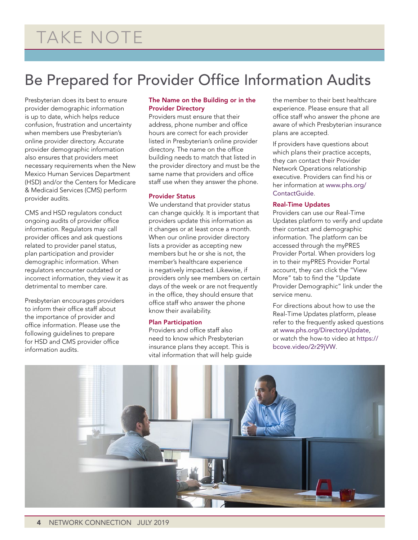## Be Prepared for Provider Office Information Audits

Presbyterian does its best to ensure provider demographic information is up to date, which helps reduce confusion, frustration and uncertainty when members use Presbyterian's online provider directory. Accurate provider demographic information also ensures that providers meet necessary requirements when the New Mexico Human Services Department (HSD) and/or the Centers for Medicare & Medicaid Services (CMS) perform provider audits.

CMS and HSD regulators conduct ongoing audits of provider office information. Regulators may call provider offices and ask questions related to provider panel status, plan participation and provider demographic information. When regulators encounter outdated or incorrect information, they view it as detrimental to member care.

Presbyterian encourages providers to inform their office staff about the importance of provider and office information. Please use the following guidelines to prepare for HSD and CMS provider office information audits.

#### The Name on the Building or in the Provider Directory

Providers must ensure that their address, phone number and office hours are correct for each provider listed in Presbyterian's online provider directory. The name on the office building needs to match that listed in the provider directory and must be the same name that providers and office staff use when they answer the phone.

#### Provider Status

We understand that provider status can change quickly. It is important that providers update this information as it changes or at least once a month. When our online provider directory lists a provider as accepting new members but he or she is not, the member's healthcare experience is negatively impacted. Likewise, if providers only see members on certain days of the week or are not frequently in the office, they should ensure that office staff who answer the phone know their availability.

#### Plan Participation

Providers and office staff also need to know which Presbyterian insurance plans they accept. This is vital information that will help guide the member to their best healthcare experience. Please ensure that all office staff who answer the phone are aware of which Presbyterian insurance plans are accepted.

If providers have questions about which plans their practice accepts, they can contact their Provider Network Operations relationship executive. Providers can find his or her information at [www.phs.org/](http://www.phs.org/ContactGuide) [ContactGuide](http://www.phs.org/ContactGuide).

#### Real-Time Updates

Providers can use our Real-Time Updates platform to verify and update their contact and demographic information. The platform can be accessed through the myPRES Provider Portal. When providers log in to their myPRES Provider Portal account, they can click the "View More" tab to find the "Update Provider Demographic" link under the service menu.

For directions about how to use the Real-Time Updates platform, please refer to the frequently asked questions at [www.phs.org/DirectoryUpdate](http://www.phs.org/DirectoryUpdate), or watch the how-to video at [https://](https://bcove.video/2r29jVW) [bcove.video/2r29jVW](https://bcove.video/2r29jVW).

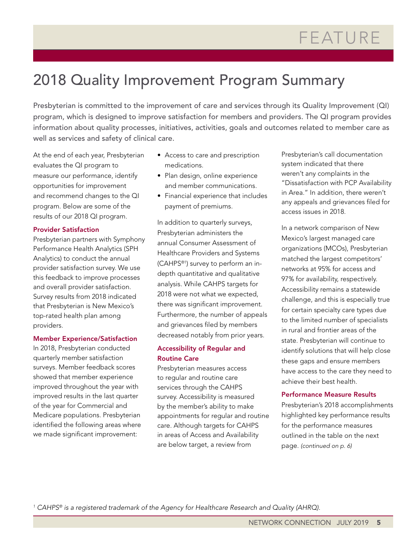## 2018 Quality Improvement Program Summary

Presbyterian is committed to the improvement of care and services through its Quality Improvement (QI) program, which is designed to improve satisfaction for members and providers. The QI program provides information about quality processes, initiatives, activities, goals and outcomes related to member care as well as services and safety of clinical care.

At the end of each year, Presbyterian evaluates the QI program to measure our performance, identify opportunities for improvement and recommend changes to the QI program. Below are some of the results of our 2018 QI program.

#### Provider Satisfaction

Presbyterian partners with Symphony Performance Health Analytics (SPH Analytics) to conduct the annual provider satisfaction survey. We use this feedback to improve processes and overall provider satisfaction. Survey results from 2018 indicated that Presbyterian is New Mexico's top-rated health plan among providers.

#### Member Experience/Satisfaction

In 2018, Presbyterian conducted quarterly member satisfaction surveys. Member feedback scores showed that member experience improved throughout the year with improved results in the last quarter of the year for Commercial and Medicare populations. Presbyterian identified the following areas where we made significant improvement:

- Access to care and prescription medications.
- Plan design, online experience and member communications.
- Financial experience that includes payment of premiums.

In addition to quarterly surveys, Presbyterian administers the annual Consumer Assessment of Healthcare Providers and Systems (CAHPS®1) survey to perform an indepth quantitative and qualitative analysis. While CAHPS targets for 2018 were not what we expected, there was significant improvement. Furthermore, the number of appeals and grievances filed by members decreased notably from prior years.

#### Accessibility of Regular and Routine Care

Presbyterian measures access to regular and routine care services through the CAHPS survey. Accessibility is measured by the member's ability to make appointments for regular and routine care. Although targets for CAHPS in areas of Access and Availability are below target, a review from

Presbyterian's call documentation system indicated that there weren't any complaints in the "Dissatisfaction with PCP Availability in Area." In addition, there weren't any appeals and grievances filed for access issues in 2018.

In a network comparison of New Mexico's largest managed care organizations (MCOs), Presbyterian matched the largest competitors' networks at 95% for access and 97% for availability, respectively. Accessibility remains a statewide challenge, and this is especially true for certain specialty care types due to the limited number of specialists in rural and frontier areas of the state. Presbyterian will continue to identify solutions that will help close these gaps and ensure members have access to the care they need to achieve their best health.

#### Performance Measure Results

Presbyterian's 2018 accomplishments highlighted key performance results for the performance measures outlined in the table on the next page. *(continued on p. 6)*

*1 CAHPS® is a registered trademark of the Agency for Healthcare Research and Quality (AHRQ).*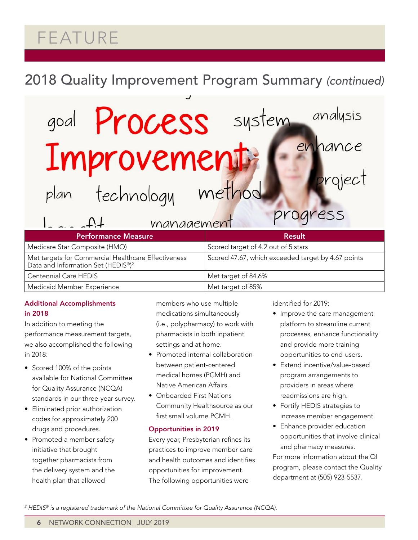# FEATURE

## 2018 Quality Improvement Program Summary *(continued)*

# goal **Process** system Improvement method

plan

technology

 $100000000000$ 

| VIIUIVIUIUIUILVIIUVIII                                                                                |                                                    |  |  |
|-------------------------------------------------------------------------------------------------------|----------------------------------------------------|--|--|
| <b>Performance Measure</b>                                                                            | Result                                             |  |  |
| Medicare Star Composite (HMO)                                                                         | Scored target of 4.2 out of 5 stars                |  |  |
| Met targets for Commercial Healthcare Effectiveness<br>Data and Information Set (HEDIS®) <sup>2</sup> | Scored 47.67, which exceeded target by 4.67 points |  |  |
| <b>Centennial Care HEDIS</b>                                                                          | Met target of 84.6%                                |  |  |
| Medicaid Member Experience                                                                            | Met target of 85%                                  |  |  |

#### Additional Accomplishments in 2018

In addition to meeting the performance measurement targets, we also accomplished the following in 2018:

- Scored 100% of the points available for National Committee for Quality Assurance (NCQA) standards in our three-year survey.
- Eliminated prior authorization codes for approximately 200 drugs and procedures.
- Promoted a member safety initiative that brought together pharmacists from the delivery system and the health plan that allowed

members who use multiple medications simultaneously (i.e., polypharmacy) to work with pharmacists in both inpatient settings and at home.

- Promoted internal collaboration between patient-centered medical homes (PCMH) and Native American Affairs.
- Onboarded First Nations Community Healthsource as our first small volume PCMH.

#### Opportunities in 2019

Every year, Presbyterian refines its practices to improve member care and health outcomes and identifies opportunities for improvement. The following opportunities were

identified for 2019:

progress

• Improve the care management platform to streamline current processes, enhance functionality and provide more training opportunities to end-users.

analysis

project

enhance

- Extend incentive/value-based program arrangements to providers in areas where readmissions are high.
- Fortify HEDIS strategies to increase member engagement.
- Enhance provider education opportunities that involve clinical and pharmacy measures.

For more information about the QI program, please contact the Quality department at (505) 923-5537.

*2 HEDIS® is a registered trademark of the National Committee for Quality Assurance (NCQA).*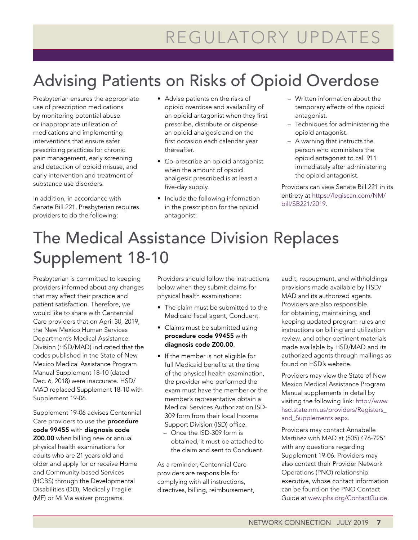# Advising Patients on Risks of Opioid Overdose

Presbyterian ensures the appropriate use of prescription medications by monitoring potential abuse or inappropriate utilization of medications and implementing interventions that ensure safer prescribing practices for chronic pain management, early screening and detection of opioid misuse, and early intervention and treatment of substance use disorders.

In addition, in accordance with Senate Bill 221, Presbyterian requires providers to do the following:

- Advise patients on the risks of opioid overdose and availability of an opioid antagonist when they first prescribe, distribute or dispense an opioid analgesic and on the first occasion each calendar year thereafter.
- Co-prescribe an opioid antagonist when the amount of opioid analgesic prescribed is at least a five-day supply.
- Include the following information in the prescription for the opioid antagonist:
- Written information about the temporary effects of the opioid antagonist.
- Techniques for administering the opioid antagonist.
- A warning that instructs the person who administers the opioid antagonist to call 911 immediately after administering the opioid antagonist.

Providers can view Senate Bill 221 in its entirety at [https://legiscan.com/NM/](https://legiscan.com/NM/bill/SB221/2019) [bill/SB221/2019](https://legiscan.com/NM/bill/SB221/2019).

# The Medical Assistance Division Replaces Supplement 18-10

Presbyterian is committed to keeping providers informed about any changes that may affect their practice and patient satisfaction. Therefore, we would like to share with Centennial Care providers that on April 30, 2019, the New Mexico Human Services Department's Medical Assistance Division (HSD/MAD) indicated that the codes published in the State of New Mexico Medical Assistance Program Manual Supplement 18-10 (dated Dec. 6, 2018) were inaccurate. HSD/ MAD replaced Supplement 18-10 with Supplement 19-06.

Supplement 19-06 advises Centennial Care providers to use the **procedure** code 99455 with diagnosis code Z00.00 when billing new or annual physical health examinations for adults who are 21 years old and older and apply for or receive Home and Community-based Services (HCBS) through the Developmental Disabilities (DD), Medically Fragile (MF) or Mi Via waiver programs.

Providers should follow the instructions below when they submit claims for physical health examinations:

- The claim must be submitted to the Medicaid fiscal agent, Conduent.
- Claims must be submitted using procedure code 99455 with diagnosis code Z00.00.
- If the member is not eligible for full Medicaid benefits at the time of the physical health examination, the provider who performed the exam must have the member or the member's representative obtain a Medical Services Authorization ISD-309 form from their local Income Support Division (ISD) office.
	- Once the ISD-309 form is obtained, it must be attached to the claim and sent to Conduent.

As a reminder, Centennial Care providers are responsible for complying with all instructions, directives, billing, reimbursement, audit, recoupment, and withholdings provisions made available by HSD/ MAD and its authorized agents. Providers are also responsible for obtaining, maintaining, and keeping updated program rules and instructions on billing and utilization review, and other pertinent materials made available by HSD/MAD and its authorized agents through mailings as found on HSD's website.

Providers may view the State of New Mexico Medical Assistance Program Manual supplements in detail by visiting the following link: [http://www.](http://www.hsd.state.nm.us/providers/Registers_and_Supplements.aspx) [hsd.state.nm.us/providers/Registers\\_](http://www.hsd.state.nm.us/providers/Registers_and_Supplements.aspx) [and\\_Supplements.aspx.](http://www.hsd.state.nm.us/providers/Registers_and_Supplements.aspx)

Providers may contact Annabelle Martinez with MAD at (505) 476-7251 with any questions regarding Supplement 19-06. Providers may also contact their Provider Network Operations (PNO) relationship executive, whose contact information can be found on the PNO Contact Guide at [www.phs.org/ContactGuide](http://www.phs.org/ContactGuide).